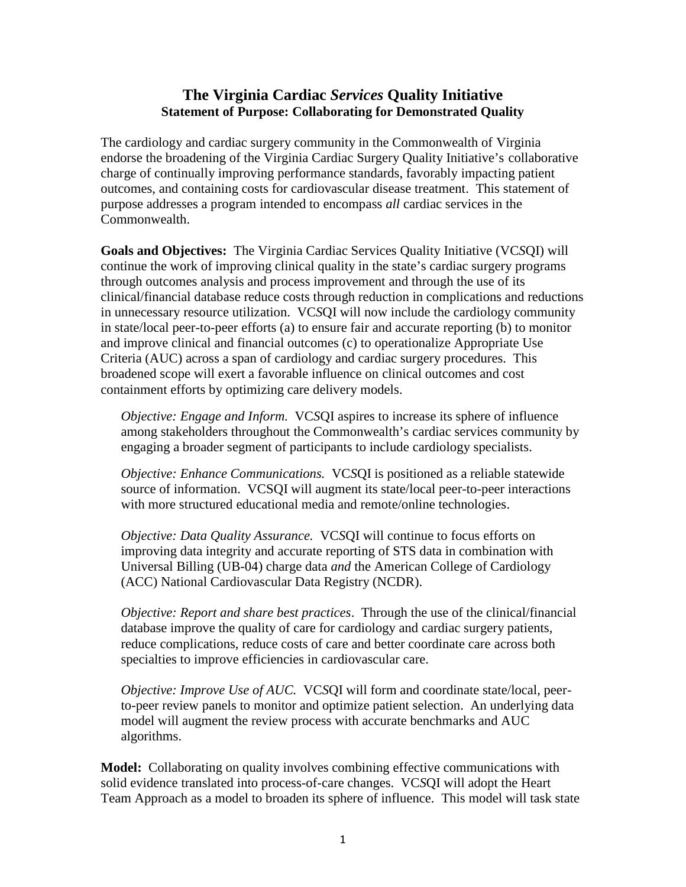## **The Virginia Cardiac** *Services* **Quality Initiative Statement of Purpose: Collaborating for Demonstrated Quality**

The cardiology and cardiac surgery community in the Commonwealth of Virginia endorse the broadening of the Virginia Cardiac Surgery Quality Initiative's collaborative charge of continually improving performance standards, favorably impacting patient outcomes, and containing costs for cardiovascular disease treatment. This statement of purpose addresses a program intended to encompass *all* cardiac services in the Commonwealth.

**Goals and Objectives:** The Virginia Cardiac Services Quality Initiative (VC*S*QI) will continue the work of improving clinical quality in the state's cardiac surgery programs through outcomes analysis and process improvement and through the use of its clinical/financial database reduce costs through reduction in complications and reductions in unnecessary resource utilization. VC*S*QI will now include the cardiology community in state/local peer-to-peer efforts (a) to ensure fair and accurate reporting (b) to monitor and improve clinical and financial outcomes (c) to operationalize Appropriate Use Criteria (AUC) across a span of cardiology and cardiac surgery procedures. This broadened scope will exert a favorable influence on clinical outcomes and cost containment efforts by optimizing care delivery models.

*Objective: Engage and Inform.* VC*S*QI aspires to increase its sphere of influence among stakeholders throughout the Commonwealth's cardiac services community by engaging a broader segment of participants to include cardiology specialists.

*Objective: Enhance Communications.* VC*S*QI is positioned as a reliable statewide source of information. VCSQI will augment its state/local peer-to-peer interactions with more structured educational media and remote/online technologies.

*Objective: Data Quality Assurance.* VC*S*QI will continue to focus efforts on improving data integrity and accurate reporting of STS data in combination with Universal Billing (UB-04) charge data *and* the American College of Cardiology (ACC) National Cardiovascular Data Registry (NCDR).

*Objective: Report and share best practices*. Through the use of the clinical/financial database improve the quality of care for cardiology and cardiac surgery patients, reduce complications, reduce costs of care and better coordinate care across both specialties to improve efficiencies in cardiovascular care.

*Objective: Improve Use of AUC.* VC*S*QI will form and coordinate state/local, peerto-peer review panels to monitor and optimize patient selection. An underlying data model will augment the review process with accurate benchmarks and AUC algorithms.

**Model:** Collaborating on quality involves combining effective communications with solid evidence translated into process-of-care changes. VC*S*QI will adopt the Heart Team Approach as a model to broaden its sphere of influence. This model will task state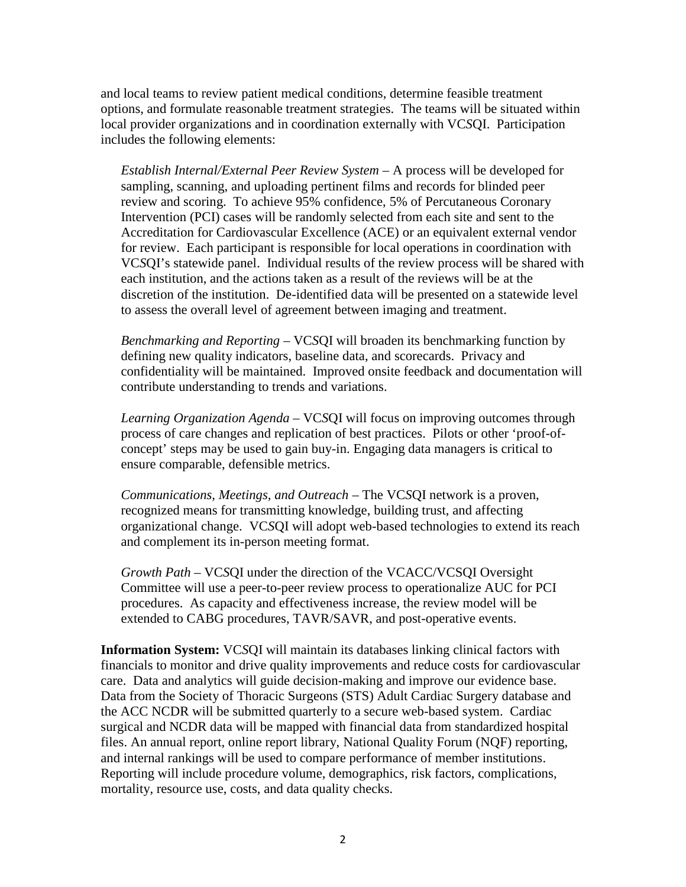and local teams to review patient medical conditions, determine feasible treatment options, and formulate reasonable treatment strategies. The teams will be situated within local provider organizations and in coordination externally with VC*S*QI. Participation includes the following elements:

*Establish Internal/External Peer Review System –* A process will be developed for sampling, scanning, and uploading pertinent films and records for blinded peer review and scoring. To achieve 95% confidence, 5% of Percutaneous Coronary Intervention (PCI) cases will be randomly selected from each site and sent to the Accreditation for Cardiovascular Excellence (ACE) or an equivalent external vendor for review. Each participant is responsible for local operations in coordination with VC*S*QI's statewide panel. Individual results of the review process will be shared with each institution, and the actions taken as a result of the reviews will be at the discretion of the institution. De-identified data will be presented on a statewide level to assess the overall level of agreement between imaging and treatment.

*Benchmarking and Reporting –* VC*S*QI will broaden its benchmarking function by defining new quality indicators, baseline data, and scorecards. Privacy and confidentiality will be maintained. Improved onsite feedback and documentation will contribute understanding to trends and variations.

*Learning Organization Agenda –* VC*S*QI will focus on improving outcomes through process of care changes and replication of best practices. Pilots or other 'proof-of concept' steps may be used to gain buy-in. Engaging data managers is critical to ensure comparable, defensible metrics.

*Communications, Meetings, and Outreach* – The VC*S*QI network is a proven, recognized means for transmitting knowledge, building trust, and affecting organizational change. VC*S*QI will adopt web-based technologies to extend its reach and complement its in-person meeting format.

*Growth Path –* VC*S*QI under the direction of the VCACC/VCSQI Oversight Committee will use a peer-to-peer review process to operationalize AUC for PCI procedures. As capacity and effectiveness increase, the review model will be extended to CABG procedures, TAVR/SAVR, and post-operative events.

**Information System:** VC*S*QI will maintain its databases linking clinical factors with financials to monitor and drive quality improvements and reduce costs for cardiovascular care. Data and analytics will guide decision-making and improve our evidence base. Data from the Society of Thoracic Surgeons (STS) Adult Cardiac Surgery database and the ACC NCDR will be submitted quarterly to a secure web-based system. Cardiac surgical and NCDR data will be mapped with financial data from standardized hospital files. An annual report, online report library, National Quality Forum (NQF) reporting, and internal rankings will be used to compare performance of member institutions. Reporting will include procedure volume, demographics, risk factors, complications, mortality, resource use, costs, and data quality checks.